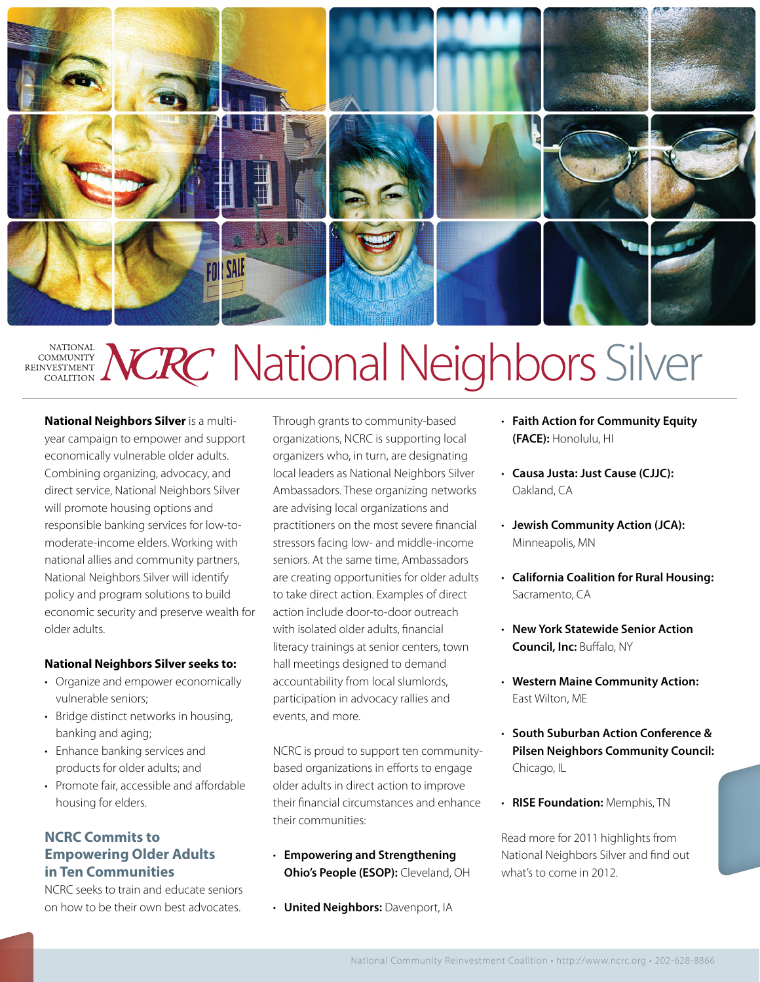

#### NGRC National Neighbors Silver **NATIONAL COMMUNITY** REINVESTMENT VESTMENT

**National Neighbors Silver** is a multiyear campaign to empower and support economically vulnerable older adults. Combining organizing, advocacy, and direct service, National Neighbors Silver will promote housing options and responsible banking services for low-tomoderate-income elders. Working with national allies and community partners, National Neighbors Silver will identify policy and program solutions to build economic security and preserve wealth for older adults.

#### **National Neighbors Silver seeks to:**

- Organize and empower economically vulnerable seniors;
- Bridge distinct networks in housing, banking and aging;
- • Enhance banking services and products for older adults; and
- Promote fair, accessible and affordable housing for elders.

#### **NCRC Commits to Empowering Older Adults in Ten Communities**

NCRC seeks to train and educate seniors on how to be their own best advocates.

Through grants to community-based organizations, NCRC is supporting local organizers who, in turn, are designating local leaders as National Neighbors Silver Ambassadors. These organizing networks are advising local organizations and practitioners on the most severe financial stressors facing low- and middle-income seniors. At the same time, Ambassadors are creating opportunities for older adults to take direct action. Examples of direct action include door-to-door outreach with isolated older adults, financial literacy trainings at senior centers, town hall meetings designed to demand accountability from local slumlords, participation in advocacy rallies and events, and more.

NCRC is proud to support ten communitybased organizations in efforts to engage older adults in direct action to improve their financial circumstances and enhance their communities:

- • **Empowering and Strengthening Ohio's People (ESOP):** Cleveland, OH
- • **United Neighbors:** Davenport, IA
- • **Faith Action for Community Equity (FACE):** Honolulu, HI
- • **Causa Justa: Just Cause (CJJC):** Oakland, CA
- • **Jewish Community Action (JCA):** Minneapolis, MN
- **California Coalition for Rural Housing:** Sacramento, CA
- • **New York Statewide Senior Action Council, Inc:** Buffalo, NY
- **Western Maine Community Action:** East Wilton, ME
- • **South Suburban Action Conference & Pilsen Neighbors Community Council:**  Chicago, IL
- • **RISE Foundation:** Memphis, TN

Read more for 2011 highlights from National Neighbors Silver and find out what's to come in 2012.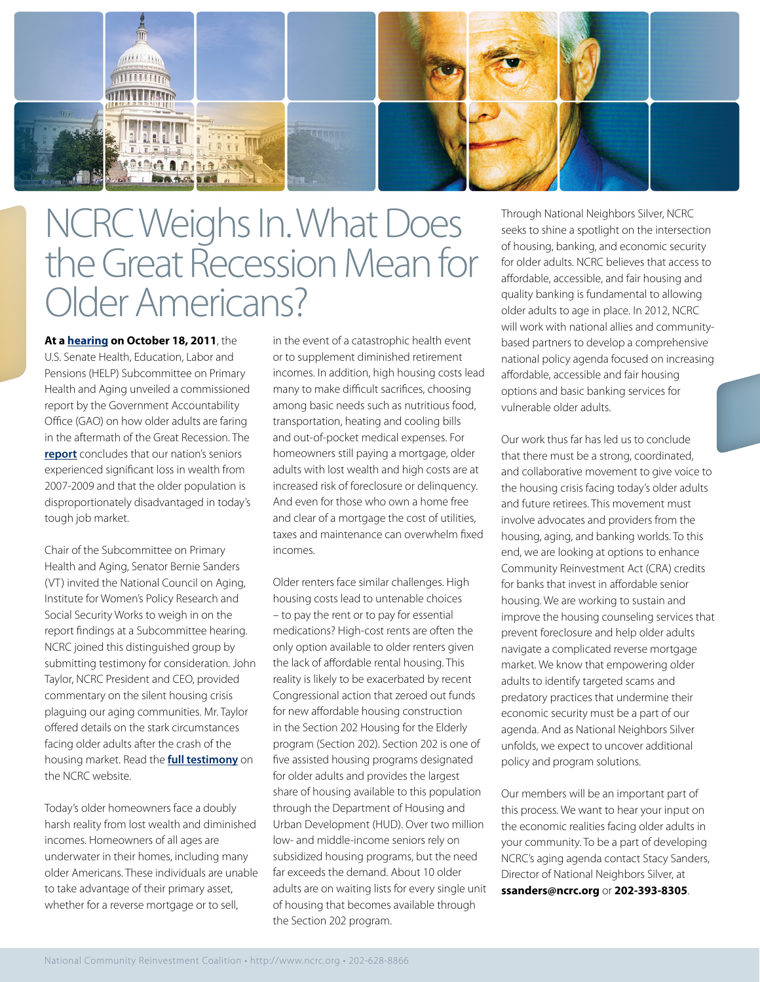

# NCRC Weighs In. What Does the Great Recession Mean for OlderAmericans?

**At a [hearing](http://help.senate.gov/hearings/hearing/?id=fd793323-5056-9502-5d1f-16c3289892fb) on October 18, 2011**, the U.S. Senate Health, Education, Labor and Pensions (HELP) Subcommittee on Primary Health and Aging unveiled a commissioned [report](http://www.gao.gov/products/GAO-12-172T) by the Government Accountability Office (GAO) on how older adults are faring in the aftermath of the Great Recession. The **[report](http://www.gao.gov/products/GAO-12-172T)** concludes that our nation's seniors experienced significant loss in wealth from 2007-2009 and that the older population is disproportionately disadvantaged in today's tough job market.

Chair of the Subcommittee on Primary Health and Aging, Senator Bernie Sanders (VT) invited the National Council on Aging, Institute for Women's Policy Research and Social Security Works to weigh in on the report findings at a Subcommittee hearing. NCRC joined this distinguished group by submitting testimony for consideration. John Taylor, NCRC President and CEO, provided commentary on the silent housing crisis plaguing our aging communities. Mr. Taylor offered details on the stark circumstances facing older adults after the crash of the housing market. Read the **[full testimony](http://www.ncrc.org/resources/testimony-a-regulatory-comments/item/674-john-taylor-testifies-before-the-senate-subcommittee-on-primary-health-aging)** on the NCRC website.

Today's older homeowners face a doubly harsh reality from lost wealth and diminished incomes. Homeowners of all ages are underwater in their homes, including many older Americans. These individuals are unable to take advantage of their primary asset, whether for a reverse mortgage or to sell,

in the event of a catastrophic health event or to supplement diminished retirement incomes. In addition, high housing costs lead many to make difficult sacrifices, choosing among basic needs such as nutritious food, transportation, heating and cooling bills and out-of-pocket medical expenses. For homeowners still paying a mortgage, older adults with lost wealth and high costs are at increased risk of foreclosure or delinquency. And even for those who own a home free and clear of a mortgage the cost of utilities, taxes and maintenance can overwhelm fixed incomes.

Older renters face similar challenges. High housing costs lead to untenable choices – to pay the rent or to pay for essential medications? High-cost rents are often the only option available to older renters given the lack of affordable rental housing. This reality is likely to be exacerbated by recent Congressional action that zeroed out funds for new affordable housing construction in the Section 202 Housing for the Elderly program (Section 202). Section 202 is one of five assisted housing programs designated for older adults and provides the largest share of housing available to this population through the Department of Housing and Urban Development (HUD). Over two million low- and middle-income seniors rely on subsidized housing programs, but the need far exceeds the demand. About 10 older adults are on waiting lists for every single unit of housing that becomes available through the Section 202 program.

Through National Neighbors Silver, NCRC seeks to shine a spotlight on the intersection of housing, banking, and economic security for older adults. NCRC believes that access to affordable, accessible, and fair housing and quality banking is fundamental to allowing older adults to age in place. In 2012, NCRC will work with national allies and communitybased partners to develop a comprehensive national policy agenda focused on increasing affordable, accessible and fair housing options and basic banking services for vulnerable older adults.

Our work thus far has led us to conclude that there must be a strong, coordinated, and collaborative movement to give voice to the housing crisis facing today's older adults and future retirees. This movement must involve advocates and providers from the housing, aging, and banking worlds. To this end, we are looking at options to enhance Community Reinvestment Act (CRA) credits for banks that invest in affordable senior housing. We are working to sustain and improve the housing counseling services that prevent foreclosure and help older adults navigate a complicated reverse mortgage market. We know that empowering older adults to identify targeted scams and predatory practices that undermine their economic security must be a part of our agenda. And as National Neighbors Silver unfolds, we expect to uncover additional policy and program solutions.

Our members will be an important part of this process. We want to hear your input on the economic realities facing older adults in your community. To be a part of developing NCRC's aging agenda contact Stacy Sanders, Director of National Neighbors Silver, at **ssanders@ncrc.org** or **202-393-8305**.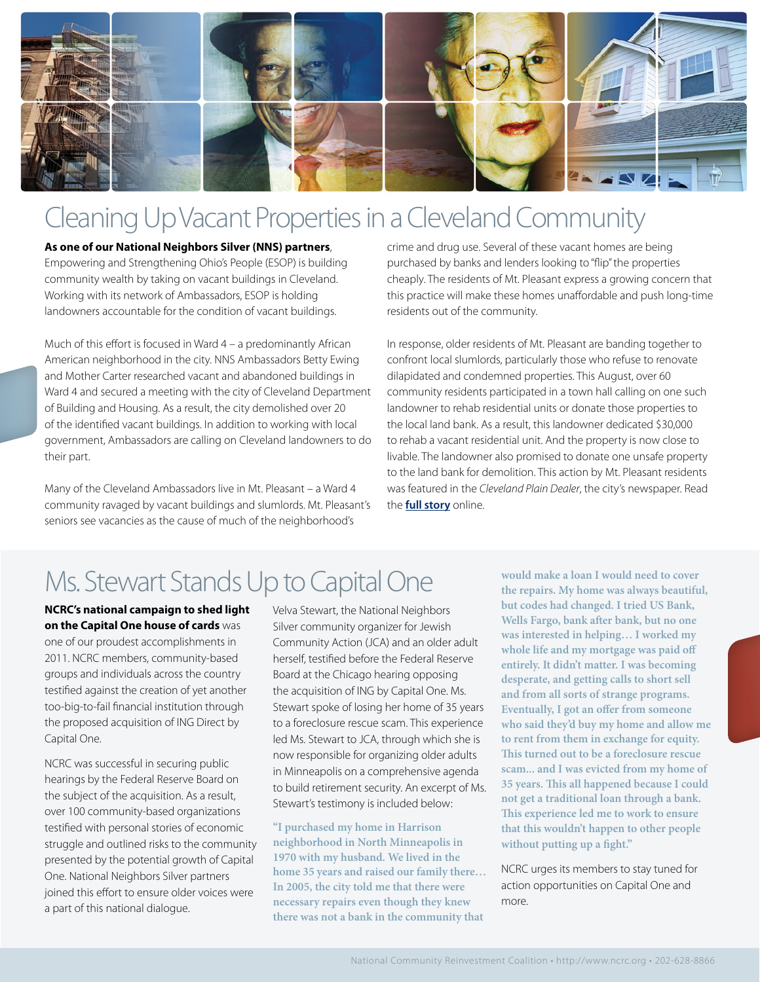

## Cleaning Up Vacant Properties in a Cleveland Community

**As one of our National Neighbors Silver (NNS) partners**, Empowering and Strengthening Ohio's People (ESOP) is building community wealth by taking on vacant buildings in Cleveland. Working with its network of Ambassadors, ESOP is holding landowners accountable for the condition of vacant buildings.

Much of this effort is focused in Ward 4 – a predominantly African American neighborhood in the city. NNS Ambassadors Betty Ewing and Mother Carter researched vacant and abandoned buildings in Ward 4 and secured a meeting with the city of Cleveland Department of Building and Housing. As a result, the city demolished over 20 of the identified vacant buildings. In addition to working with local government, Ambassadors are calling on Cleveland landowners to do their part.

Many of the Cleveland Ambassadors live in Mt. Pleasant – a Ward 4 community ravaged by vacant buildings and slumlords. Mt. Pleasant's seniors see vacancies as the cause of much of the neighborhood's

crime and drug use. Several of these vacant homes are being purchased by banks and lenders looking to "flip" the properties cheaply. The residents of Mt. Pleasant express a growing concern that this practice will make these homes unaffordable and push long-time residents out of the community.

In response, older residents of Mt. Pleasant are banding together to confront local slumlords, particularly those who refuse to renovate dilapidated and condemned properties. This August, over 60 community residents participated in a town hall calling on one such landowner to rehab residential units or donate those properties to the local land bank. As a result, this landowner dedicated \$30,000 to rehab a vacant residential unit. And the property is now close to livable. The landowner also promised to donate one unsafe property to the land bank for demolition. This action by Mt. Pleasant residents was featured in the *Cleveland Plain Dealer*, the city's newspaper. Read the **[full story](http://blog.cleveland.com/metro/2011/08/post_503.html)** online.

# Ms. Stewart Stands Up to Capital One

**NCRC's national campaign to shed light on the Capital One house of cards** was one of our proudest accomplishments in 2011. NCRC members, community-based groups and individuals across the country testified against the creation of yet another too-big-to-fail financial institution through the proposed acquisition of ING Direct by Capital One.

NCRC was successful in securing public hearings by the Federal Reserve Board on the subject of the acquisition. As a result, over 100 community-based organizations testified with personal stories of economic struggle and outlined risks to the community presented by the potential growth of Capital One. National Neighbors Silver partners joined this effort to ensure older voices were a part of this national dialogue.

Velva Stewart, the National Neighbors Silver community organizer for Jewish Community Action (JCA) and an older adult herself, testified before the Federal Reserve Board at the Chicago hearing opposing the acquisition of ING by Capital One. Ms. Stewart spoke of losing her home of 35 years to a foreclosure rescue scam. This experience led Ms. Stewart to JCA, through which she is now responsible for organizing older adults in Minneapolis on a comprehensive agenda to build retirement security. An excerpt of Ms. Stewart's testimony is included below:

**"I purchased my home in Harrison neighborhood in North Minneapolis in 1970 with my husband. We lived in the home 35 years and raised our family there… In 2005, the city told me that there were necessary repairs even though they knew there was not a bank in the community that** 

**would make a loan I would need to cover the repairs. My home was always beautiful, but codes had changed. I tried US Bank, Wells Fargo, bank after bank, but no one was interested in helping… I worked my whole life and my mortgage was paid off entirely. It didn't matter. I was becoming desperate, and getting calls to short sell and from all sorts of strange programs. Eventually, I got an offer from someone who said they'd buy my home and allow me to rent from them in exchange for equity. This turned out to be a foreclosure rescue scam... and I was evicted from my home of 35 years. This all happened because I could not get a traditional loan through a bank. This experience led me to work to ensure that this wouldn't happen to other people without putting up a fight."**

NCRC urges its members to stay tuned for action opportunities on Capital One and more.